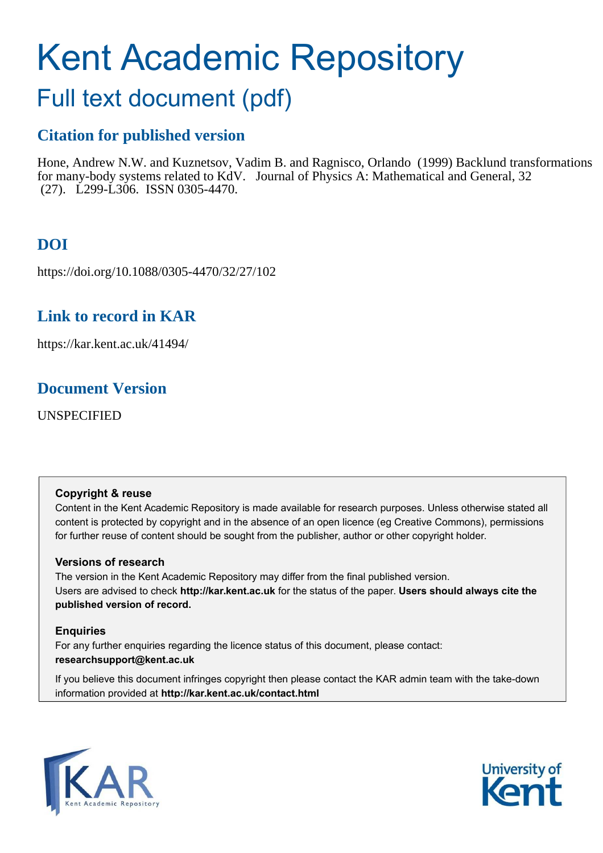# <span id="page-0-0"></span>Kent Academic Repository

# Full text document (pdf)

# **Citation for published version**

Hone, Andrew N.W. and Kuznetsov, Vadim B. and Ragnisco, Orlando (1999) Backlund transformations for many-body systems related to KdV. Journal of Physics A: Mathematical and General, 32 (27). L299-L306. ISSN 0305-4470.

# **DOI**

https://doi.org/10.1088/0305-4470/32/27/102

# **Link to record in KAR**

https://kar.kent.ac.uk/41494/

## **Document Version**

UNSPECIFIED

## **Copyright & reuse**

Content in the Kent Academic Repository is made available for research purposes. Unless otherwise stated all content is protected by copyright and in the absence of an open licence (eg Creative Commons), permissions for further reuse of content should be sought from the publisher, author or other copyright holder.

## **Versions of research**

The version in the Kent Academic Repository may differ from the final published version. Users are advised to check **http://kar.kent.ac.uk** for the status of the paper. **Users should always cite the published version of record.**

## **Enquiries**

For any further enquiries regarding the licence status of this document, please contact: **researchsupport@kent.ac.uk**

If you believe this document infringes copyright then please contact the KAR admin team with the take-down information provided at **http://kar.kent.ac.uk/contact.html**



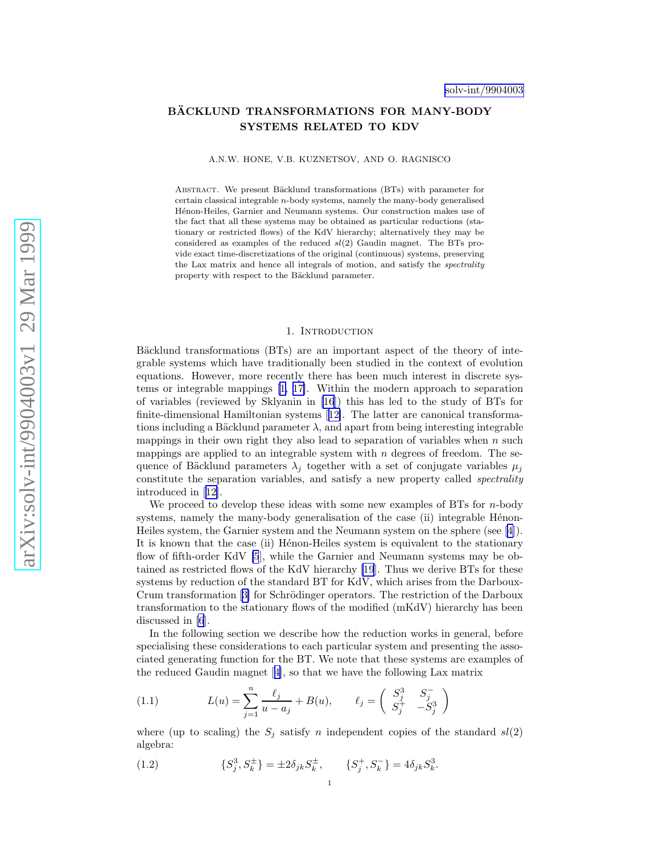## <span id="page-1-0"></span>BÄCKLUND TRANSFORMATIONS FOR MANY-BODY SYSTEMS RELATED TO KDV

A.N.W. HONE, V.B. KUZNETSOV, AND O. RAGNISCO

ABSTRACT. We present Bäcklund transformations (BTs) with parameter for certain classical integrable n-body systems, namely the many-body generalised Hénon-Heiles, Garnier and Neumann systems. Our construction makes use of the fact that all these systems may be obtained as particular reductions (stationary or restricted flows) of the KdV hierarchy; alternatively they may be considered as examples of the reduced  $sl(2)$  Gaudin magnet. The BTs provide exact time-discretizations of the original (continuous) systems, preserving the Lax matrix and hence all integrals of motion, and satisfy the *spectrality* property with respect to the Bäcklund parameter.

#### 1. INTRODUCTION

Bäcklund transformations (BTs) are an important aspect of the theory of integrable systems which have traditionally been studied in the context of evolution equations. However, more recently there has been much interest in discrete systems or integrable mappings[[1,](#page-6-0) [17\]](#page-7-0). Within the modern approach to separation of variables (reviewed by Sklyanin in [\[16](#page-7-0)]) this has led to the study of BTs for finite-dimensional Hamiltonian systems[[12\]](#page-7-0). The latter are canonical transformations including a Bäcklund parameter  $\lambda$ , and apart from being integrable mappings in their own right they also lead to separation of variables when  $n$  such mappings are applied to an integrable system with  $n$  degrees of freedom. The sequence of Bäcklund parameters  $\lambda_i$  together with a set of conjugate variables  $\mu_i$ constitute the separation variables, and satisfy a new property called spectrality introduced in[[12\]](#page-7-0).

We proceed to develop these ideas with some new examples of BTs for  $n$ -body systems, namely the many-body generalisation of the case (ii) integrable Hénon-Heiles system, the Garnier system and the Neumann system on the sphere (see[[4\]](#page-7-0)). It is known that the case (ii) Henon-Heiles system is equivalent to the stationary flow of fifth-order KdV [\[5](#page-7-0)], while the Garnier and Neumann systems may be obtained as restricted flows of the KdV hierarchy [\[19](#page-7-0)]. Thus we derive BTs for these systems by reduction of the standard BT for KdV, which arises from the Darboux-Crumtransformation [[3\]](#page-6-0) for Schrödinger operators. The restriction of the Darboux transformation to the stationary flows of the modified (mKdV) hierarchy has been discussed in [\[6](#page-7-0)].

In the following section we describe how the reduction works in general, before specialising these considerations to each particular system and presenting the associated generating function for the BT. We note that these systems are examples of the reduced Gaudin magnet[[4\]](#page-7-0), so that we have the following Lax matrix

(1.1) 
$$
L(u) = \sum_{j=1}^{n} \frac{\ell_j}{u - a_j} + B(u), \qquad \ell_j = \begin{pmatrix} S_j^3 & S_j^- \\ S_j^+ & -S_j^3 \end{pmatrix}
$$

where (up to scaling) the  $S_j$  satisfy n independent copies of the standard  $sl(2)$ algebra:

(1.2) 
$$
\{S_j^3, S_k^{\pm}\} = \pm 2\delta_{jk} S_k^{\pm}, \qquad \{S_j^+, S_k^-\} = 4\delta_{jk} S_k^3.
$$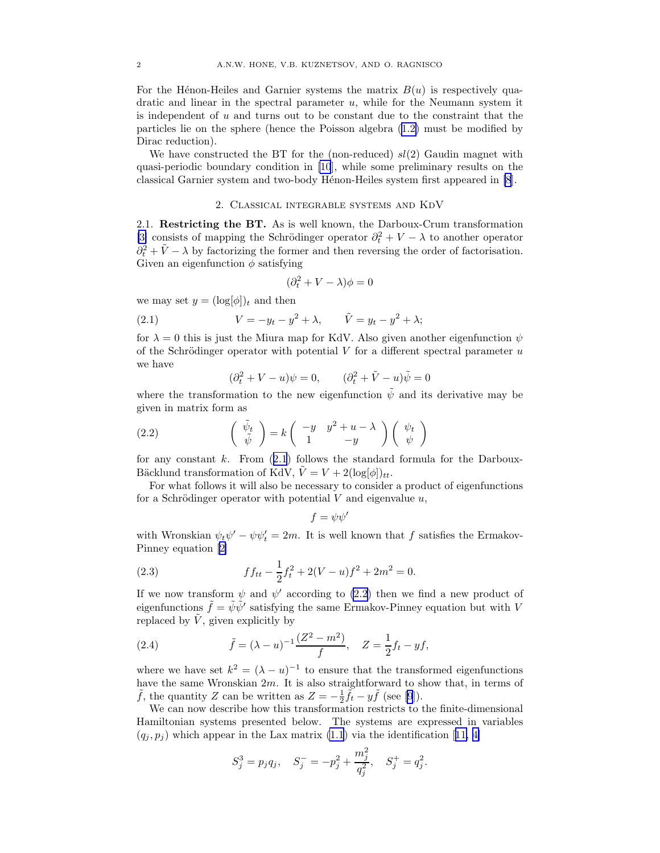<span id="page-2-0"></span>For the Hénon-Heiles and Garnier systems the matrix  $B(u)$  is respectively quadratic and linear in the spectral parameter  $u$ , while for the Neumann system it is independent of u and turns out to be constant due to the constraint that the particles lie on the sphere (hence the Poisson algebra ([1.2\)](#page-0-0) must be modified by Dirac reduction).

We have constructed the BT for the (non-reduced)  $sl(2)$  Gaudin magnet with quasi-periodic boundary condition in [\[10](#page-7-0)], while some preliminary results on the classical Garnier system and two-body Hénon-Heiles system first appeared in [\[8](#page-7-0)].

### 2. Classical integrable systems and KdV

2.1. Restricting the BT. As is well known, the Darboux-Crum transformation [\[3\]](#page-6-0) consists of mapping the Schrödinger operator  $\partial_t^2 + V - \lambda$  to another operator  $\partial_t^2 + \tilde{V} - \lambda$  by factorizing the former and then reversing the order of factorisation. Given an eigenfunction  $\phi$  satisfying

$$
(\partial_t^2+V-\lambda)\phi=0
$$

we may set  $y = (\log[\phi])_t$  and then

(2.1) 
$$
V = -y_t - y^2 + \lambda, \qquad \tilde{V} = y_t - y^2 + \lambda;
$$

for  $\lambda = 0$  this is just the Miura map for KdV. Also given another eigenfunction  $\psi$ of the Schrödinger operator with potential V for a different spectral parameter  $u$ we have

$$
(\partial_t^2 + V - u)\psi = 0, \qquad (\partial_t^2 + \tilde{V} - u)\tilde{\psi} = 0
$$

where the transformation to the new eigenfunction  $\tilde{\psi}$  and its derivative may be given in matrix form as

(2.2) 
$$
\begin{pmatrix} \tilde{\psi}_t \\ \tilde{\psi} \end{pmatrix} = k \begin{pmatrix} -y & y^2 + u - \lambda \\ 1 & -y \end{pmatrix} \begin{pmatrix} \psi_t \\ \psi \end{pmatrix}
$$

for any constant k. From  $(2.1)$  $(2.1)$  $(2.1)$  follows the standard formula for the Darboux-Bäcklund transformation of KdV,  $\hat{V} = V + 2(\log[\phi])_{tt}$ .

For what follows it will also be necessary to consider a product of eigenfunctions for a Schrödinger operator with potential  $V$  and eigenvalue  $u$ ,

$$
f = \psi \psi'
$$

with Wronskian  $\psi_t \psi' - \psi \psi'_t = 2m$ . It is well known that f satisfies the Ermakov-Pinney equation[[2\]](#page-6-0)

(2.3) 
$$
f f_{tt} - \frac{1}{2} f_t^2 + 2(V - u)f^2 + 2m^2 = 0.
$$

If we now transform  $\psi$  and  $\psi'$  according to [\(2.2](#page-1-0)) then we find a new product of eigenfunctions  $\tilde{f} = \tilde{\psi}\tilde{\psi}'$  satisfying the same Ermakov-Pinney equation but with V replaced by  $\tilde{V}$ , given explicitly by

(2.4) 
$$
\tilde{f} = (\lambda - u)^{-1} \frac{(Z^2 - m^2)}{f}, \quad Z = \frac{1}{2} f_t - y f,
$$

where we have set  $k^2 = (\lambda - u)^{-1}$  to ensure that the transformed eigenfunctions have the same Wronskian 2m. It is also straightforward to show that, in terms of  $\tilde{f}$ , the quantity Z can be written as  $Z = -\frac{1}{2}\tilde{f}_t - y\tilde{f}$  (see [\[9](#page-7-0)]).

We can now describe how this transformation restricts to the finite-dimensional Hamiltonian systems presented below. The systems are expressed in variables  $(q_i, p_i)$  $(q_i, p_i)$  $(q_i, p_i)$  which appear in the Lax matrix [\(1.1](#page-0-0)) via the identification [[11, 4\]](#page-7-0)

$$
S_j^3 = p_j q_j, \quad S_j^- = -p_j^2 + \frac{m_j^2}{q_j^2}, \quad S_j^+ = q_j^2.
$$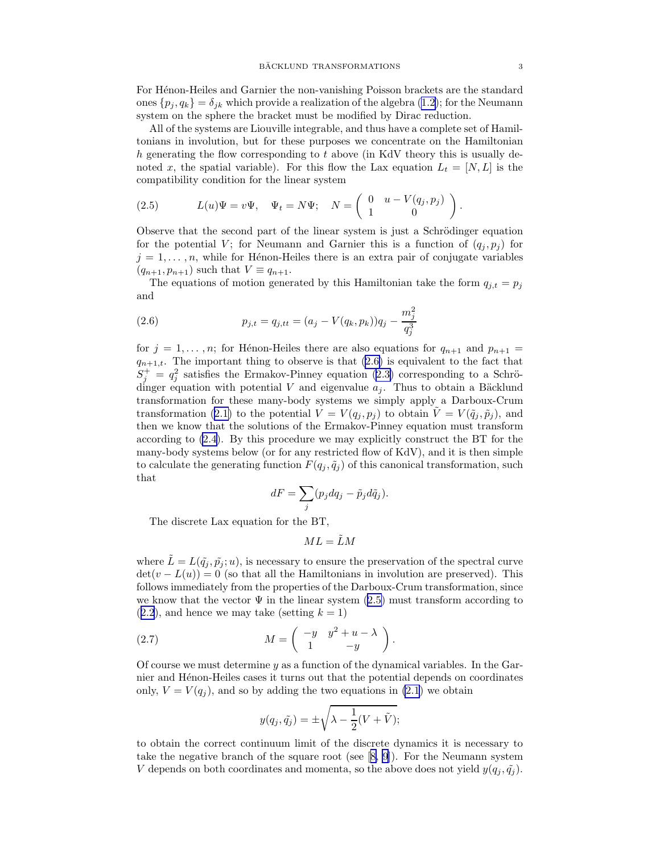<span id="page-3-0"></span>For Hénon-Heiles and Garnier the non-vanishing Poisson brackets are the standard ones  $\{p_i, q_k\} = \delta_{ik}$  which provide a realization of the algebra [\(1.2\)](#page-0-0); for the Neumann system on the sphere the bracket must be modified by Dirac reduction.

All of the systems are Liouville integrable, and thus have a complete set of Hamiltonians in involution, but for these purposes we concentrate on the Hamiltonian  $h$  generating the flow corresponding to  $t$  above (in KdV theory this is usually denoted x, the spatial variable). For this flow the Lax equation  $L_t = [N, L]$  is the compatibility condition for the linear system

(2.5) 
$$
L(u)\Psi = v\Psi, \quad \Psi_t = N\Psi; \quad N = \begin{pmatrix} 0 & u - V(q_j, p_j) \\ 1 & 0 \end{pmatrix}.
$$

Observe that the second part of the linear system is just a Schrödinger equation for the potential V; for Neumann and Garnier this is a function of  $(q_i, p_i)$  for  $j = 1, \ldots, n$ , while for Hénon-Heiles there is an extra pair of conjugate variables  $(q_{n+1}, p_{n+1})$  such that  $V \equiv q_{n+1}$ .

The equations of motion generated by this Hamiltonian take the form  $q_{i,t} = p_j$ and

(2.6) 
$$
p_{j,t} = q_{j,tt} = (a_j - V(q_k, p_k))q_j - \frac{m_j^2}{q_j^3}
$$

for  $j = 1, \ldots, n$ ; for Hénon-Heiles there are also equations for  $q_{n+1}$  and  $p_{n+1}$  $q_{n+1,t}$ . The important thing to observe is that  $(2.6)$  is equivalent to the fact that  $S_j^+ = q_j^2$  satisfies the Ermakov-Pinney equation [\(2.3\)](#page-1-0) corresponding to a Schrödinger equation with potential V and eigenvalue  $a_j$ . Thus to obtain a Bäcklund transformation for these many-body systems we simply apply a Darboux-Crum transformation [\(2.1\)](#page-1-0) to the potential  $V = V(q_i, p_i)$  to obtain  $\tilde{V} = V(\tilde{q}_i, \tilde{p}_i)$ , and then we know that the solutions of the Ermakov-Pinney equation must transform according to [\(2.4](#page-1-0)). By this procedure we may explicitly construct the BT for the many-body systems below (or for any restricted flow of KdV), and it is then simple to calculate the generating function  $F(q_j, \tilde{q}_j)$  of this canonical transformation, such that

$$
dF = \sum_{j} (p_j dq_j - \tilde{p}_j d\tilde{q}_j).
$$

The discrete Lax equation for the BT,

 $ML = \tilde{L}M$ 

where  $\tilde{L} = L(\tilde{q}_i, \tilde{p}_i; u)$ , is necessary to ensure the preservation of the spectral curve  $\det(v - L(u)) = 0$  (so that all the Hamiltonians in involution are preserved). This follows immediately from the properties of the Darboux-Crum transformation, since we know that the vector  $\Psi$  in the linear system [\(2.5\)](#page-2-0) must transform according to  $(2.2)$  $(2.2)$  $(2.2)$ , and hence we may take (setting  $k = 1$ )

(2.7) 
$$
M = \begin{pmatrix} -y & y^2 + u - \lambda \\ 1 & -y \end{pmatrix}.
$$

Of course we must determine  $y$  as a function of the dynamical variables. In the Garnier and Hénon-Heiles cases it turns out that the potential depends on coordinates only,  $V = V(q_i)$ , and so by adding the two equations in [\(2.1](#page-1-0)) we obtain

$$
y(q_j, \tilde{q}_j) = \pm \sqrt{\lambda - \frac{1}{2}(V + \tilde{V})};
$$

to obtain the correct continuum limit of the discrete dynamics it is necessary to take the negative branch of the square root (see[[8, 9](#page-7-0)]). For the Neumann system V depends on both coordinates and momenta, so the above does not yield  $y(q_j, \tilde{q}_j)$ .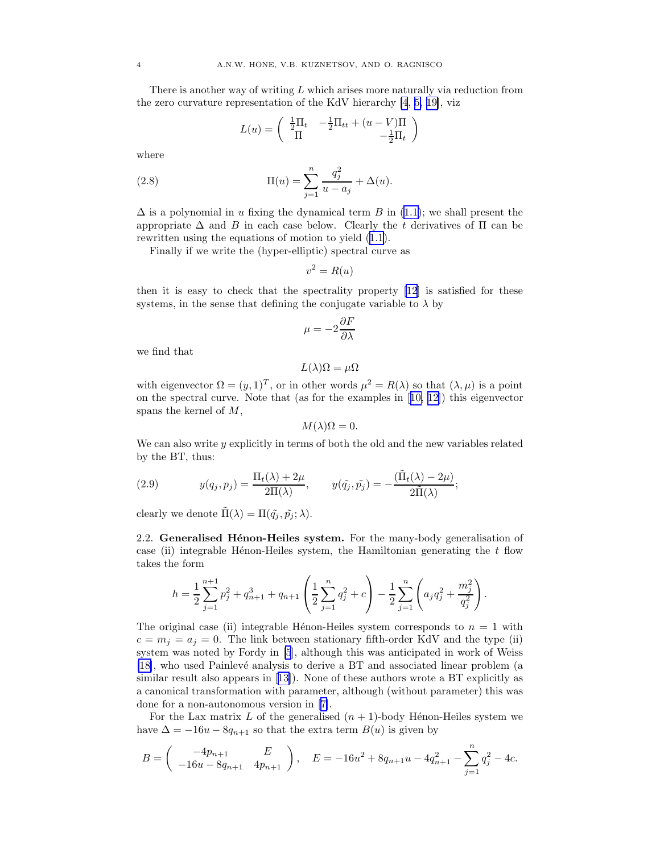<span id="page-4-0"></span>There is another way of writing  $L$  which arises more naturally via reduction from the zero curvature representation of the KdV hierarchy [\[4](#page-7-0), [5, 19\]](#page-7-0), viz

$$
L(u) = \begin{pmatrix} \frac{1}{2}\Pi_t & -\frac{1}{2}\Pi_{tt} + (u - V)\Pi \\ \Pi & -\frac{1}{2}\Pi_t \end{pmatrix}
$$

where

(2.8) 
$$
\Pi(u) = \sum_{j=1}^{n} \frac{q_j^2}{u - a_j} + \Delta(u).
$$

 $\Delta$  is a polynomial in u fixing the dynamical term B in [\(1.1\)](#page-0-0); we shall present the appropriate  $\Delta$  and B in each case below. Clearly the t derivatives of  $\Pi$  can be rewritten using the equations of motion to yield [\(1.1\)](#page-0-0).

Finally if we write the (hyper-elliptic) spectral curve as

$$
v^2 = R(u)
$$

then it is easy to check that the spectrality property [\[12](#page-7-0)] is satisfied for these systems, in the sense that defining the conjugate variable to  $\lambda$  by

$$
\mu=-2\frac{\partial F}{\partial\lambda}
$$

we find that

$$
L(\lambda)\Omega = \mu\Omega
$$

with eigenvector  $\Omega = (y, 1)^T$ , or in other words  $\mu^2 = R(\lambda)$  so that  $(\lambda, \mu)$  is a point on the spectral curve. Note that (as for the examples in[[10, 12\]](#page-7-0)) this eigenvector spans the kernel of M,

$$
M(\lambda)\Omega=0.
$$

We can also write  $y$  explicitly in terms of both the old and the new variables related by the BT, thus:

(2.9) 
$$
y(q_j, p_j) = \frac{\Pi_t(\lambda) + 2\mu}{2\Pi(\lambda)}, \qquad y(\tilde{q}_j, \tilde{p}_j) = -\frac{(\tilde{\Pi}_t(\lambda) - 2\mu)}{2\tilde{\Pi}(\lambda)};
$$

clearly we denote  $\Pi(\lambda) = \Pi(\tilde{q}_i, \tilde{p}_i; \lambda)$ .

2.2. Generalised Hénon-Heiles system. For the many-body generalisation of case (ii) integrable H $\epsilon$ non-Heiles system, the Hamiltonian generating the t flow takes the form

$$
h = \frac{1}{2} \sum_{j=1}^{n+1} p_j^2 + q_{n+1}^3 + q_{n+1} \left( \frac{1}{2} \sum_{j=1}^n q_j^2 + c \right) - \frac{1}{2} \sum_{j=1}^n \left( a_j q_j^2 + \frac{m_j^2}{q_j^2} \right).
$$

The original case (ii) integrable Hénon-Heiles system corresponds to  $n = 1$  with  $c = m_j = a_j = 0$ . The link between stationary fifth-order KdV and the type (ii) system was noted by Fordy in [\[5](#page-7-0)], although this was anticipated in work of Weiss [\[18\]](#page-7-0), who used Painlev´e analysis to derive a BT and associated linear problem (a similar result also appears in [\[13\]](#page-7-0)). None of these authors wrote a BT explicitly as a canonical transformation with parameter, although (without parameter) this was done for a non-autonomous version in[[7\]](#page-7-0).

For the Lax matrix L of the generalised  $(n + 1)$ -body Hénon-Heiles system we have  $\Delta = -16u - 8q_{n+1}$  so that the extra term  $B(u)$  is given by

$$
B = \begin{pmatrix} -4p_{n+1} & E \\ -16u - 8q_{n+1} & 4p_{n+1} \end{pmatrix}, \quad E = -16u^2 + 8q_{n+1}u - 4q_{n+1}^2 - \sum_{j=1}^n q_j^2 - 4c.
$$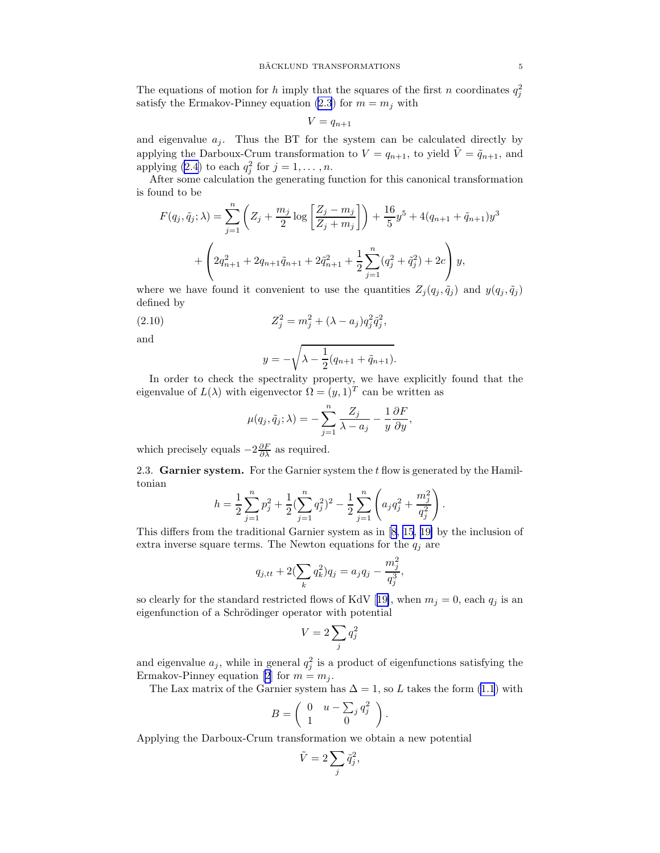<span id="page-5-0"></span>The equations of motion for h imply that the squares of the first n coordinates  $q_j^2$ satisfy the Ermakov-Pinney equation [\(2.3](#page-1-0)) for  $m = m_j$  with

$$
V = q_{n+1}
$$

and eigenvalue  $a_j$ . Thus the BT for the system can be calculated directly by applying the Darboux-Crum transformation to  $V = q_{n+1}$ , to yield  $\tilde{V} = \tilde{q}_{n+1}$ , and applying [\(2.4](#page-1-0)) to each  $q_j^2$  for  $j = 1, \ldots, n$ .

After some calculation the generating function for this canonical transformation is found to be

$$
F(q_j, \tilde{q}_j; \lambda) = \sum_{j=1}^n \left( Z_j + \frac{m_j}{2} \log \left[ \frac{Z_j - m_j}{Z_j + m_j} \right] \right) + \frac{16}{5} y^5 + 4(q_{n+1} + \tilde{q}_{n+1}) y^3
$$

$$
+ \left( 2q_{n+1}^2 + 2q_{n+1}\tilde{q}_{n+1} + 2\tilde{q}_{n+1}^2 + \frac{1}{2} \sum_{j=1}^n (q_j^2 + \tilde{q}_j^2) + 2c \right) y,
$$

where we have found it convenient to use the quantities  $Z_j(q_j, \tilde{q}_j)$  and  $y(q_j, \tilde{q}_j)$ defined by

(2.10) 
$$
Z_j^2 = m_j^2 + (\lambda - a_j)q_j^2 \tilde{q}_j^2,
$$

and

$$
y = -\sqrt{\lambda - \frac{1}{2}(q_{n+1} + \tilde{q}_{n+1})}.
$$

In order to check the spectrality property, we have explicitly found that the eigenvalue of  $L(\lambda)$  with eigenvector  $\Omega = (y, 1)^T$  can be written as

$$
\mu(q_j, \tilde{q}_j; \lambda) = -\sum_{j=1}^n \frac{Z_j}{\lambda - a_j} - \frac{1}{y} \frac{\partial F}{\partial y},
$$

which precisely equals  $-2\frac{\partial F}{\partial \lambda}$  as required.

2.3. Garnier system. For the Garnier system the t flow is generated by the Hamiltonian

$$
h = \frac{1}{2} \sum_{j=1}^{n} p_j^2 + \frac{1}{2} \left( \sum_{j=1}^{n} q_j^2 \right)^2 - \frac{1}{2} \sum_{j=1}^{n} \left( a_j q_j^2 + \frac{m_j^2}{q_j^2} \right).
$$

This differs from the traditional Garnier system as in [\[8](#page-7-0), [15,](#page-7-0) [19\]](#page-7-0) by the inclusion of extra inverse square terms. The Newton equations for the  $q_j$  are

$$
q_{j,tt} + 2(\sum_k q_k^2)q_j = a_j q_j - \frac{m_j^2}{q_j^3},
$$

soclearly for the standard restricted flows of KdV [[19\]](#page-7-0), when  $m_j = 0$ , each  $q_j$  is an eigenfunction of a Schrödinger operator with potential

$$
V = 2\sum_j q_j^2
$$

and eigenvalue  $a_j$ , while in general  $q_j^2$  is a product of eigenfunctions satisfying the Ermakov-Pinney equation [\[2\]](#page-6-0) for  $m = m_j$ .

The Lax matrix of the Garnier system has  $\Delta = 1$ , so L takes the form [\(1.1](#page-0-0)) with

$$
B = \left( \begin{array}{cc} 0 & u - \sum_j q_j^2 \\ 1 & 0 \end{array} \right).
$$

Applying the Darboux-Crum transformation we obtain a new potential

$$
\tilde{V} = 2 \sum_{j} \tilde{q}_{j}^{2},
$$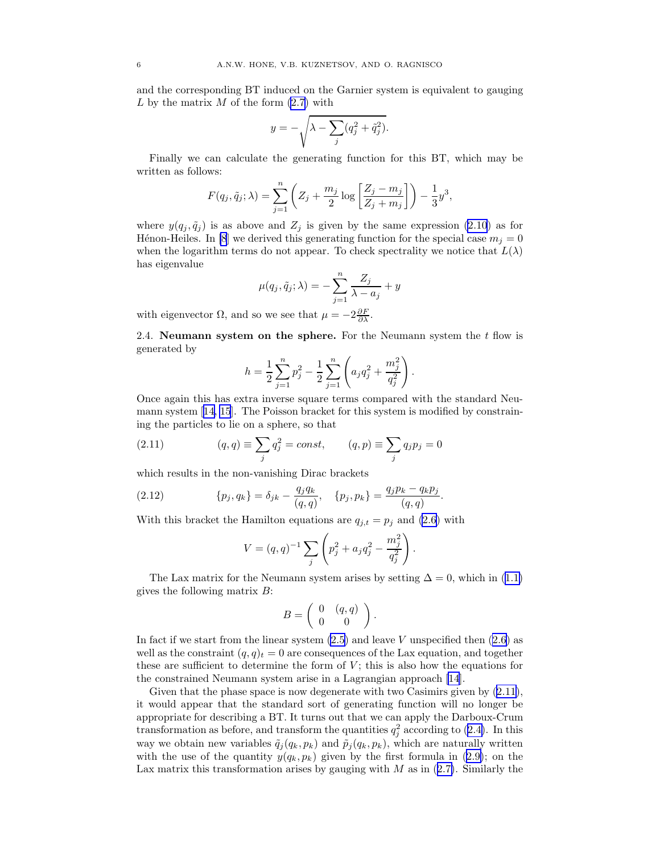<span id="page-6-0"></span>and the corresponding BT induced on the Garnier system is equivalent to gauging L by the matrix  $M$  of the form  $(2.7)$  with

$$
y = -\sqrt{\lambda - \sum_{j} (q_j^2 + \tilde{q}_j^2)}.
$$

Finally we can calculate the generating function for this BT, which may be written as follows:

$$
F(q_j, \tilde{q}_j; \lambda) = \sum_{j=1}^n \left( Z_j + \frac{m_j}{2} \log \left[ \frac{Z_j - m_j}{Z_j + m_j} \right] \right) - \frac{1}{3} y^3,
$$

where  $y(q_i, \tilde{q}_i)$  is as above and  $Z_i$  is given by the same expression [\(2.10](#page-4-0)) as for Hénon-Heiles. In [\[8](#page-7-0)] we derived this generating function for the special case  $m_i = 0$ when the logarithm terms do not appear. To check spectrality we notice that  $L(\lambda)$ has eigenvalue

$$
\mu(q_j, \tilde{q}_j; \lambda) = -\sum_{j=1}^n \frac{Z_j}{\lambda - a_j} + y
$$

with eigenvector  $\Omega$ , and so we see that  $\mu = -2\frac{\partial F}{\partial \lambda}$ .

2.4. Neumann system on the sphere. For the Neumann system the  $t$  flow is generated by

$$
h = \frac{1}{2} \sum_{j=1}^{n} p_j^2 - \frac{1}{2} \sum_{j=1}^{n} \left( a_j q_j^2 + \frac{m_j^2}{q_j^2} \right).
$$

Once again this has extra inverse square terms compared with the standard Neumann system[[14, 15](#page-7-0)]. The Poisson bracket for this system is modified by constraining the particles to lie on a sphere, so that

(2.11) 
$$
(q, q) \equiv \sum_{j} q_{j}^{2} = const, \qquad (q, p) \equiv \sum_{j} q_{j} p_{j} = 0
$$

which results in the non-vanishing Dirac brackets

(2.12) 
$$
\{p_j, q_k\} = \delta_{jk} - \frac{q_j q_k}{(q, q)}, \quad \{p_j, p_k\} = \frac{q_j p_k - q_k p_j}{(q, q)}.
$$

With this bracket the Hamilton equations are  $q_{j,t} = p_j$  and [\(2.6\)](#page-2-0) with

$$
V = (q, q)^{-1} \sum_{j} \left( p_j^2 + a_j q_j^2 - \frac{m_j^2}{q_j^2} \right).
$$

The Lax matrix for the Neumann system arises by setting  $\Delta = 0$ , which in ([1.1\)](#page-0-0) gives the following matrix  $B$ :

$$
B = \left( \begin{array}{cc} 0 & (q, q) \\ 0 & 0 \end{array} \right).
$$

In fact if we start from the linear system  $(2.5)$  and leave V unspecified then  $(2.6)$  as well as the constraint  $(q, q)<sub>t</sub> = 0$  are consequences of the Lax equation, and together these are sufficient to determine the form of  $V$ ; this is also how the equations for the constrained Neumann system arise in a Lagrangian approach [\[14](#page-7-0)].

Given that the phase space is now degenerate with two Casimirs given by  $(2.11)$  $(2.11)$ , it would appear that the standard sort of generating function will no longer be appropriate for describing a BT. It turns out that we can apply the Darboux-Crum transformation as before, and transform the quantities  $q_j^2$  according to ([2.4\)](#page-1-0). In this way we obtain new variables  $\tilde{q}_j(q_k, p_k)$  and  $\tilde{p}_j(q_k, p_k)$ , which are naturally written with the use of the quantity  $y(q_k, p_k)$  given by the first formula in ([2.9\)](#page-3-0); on the Lax matrix this transformation arises by gauging with  $M$  as in  $(2.7)$  $(2.7)$ . Similarly the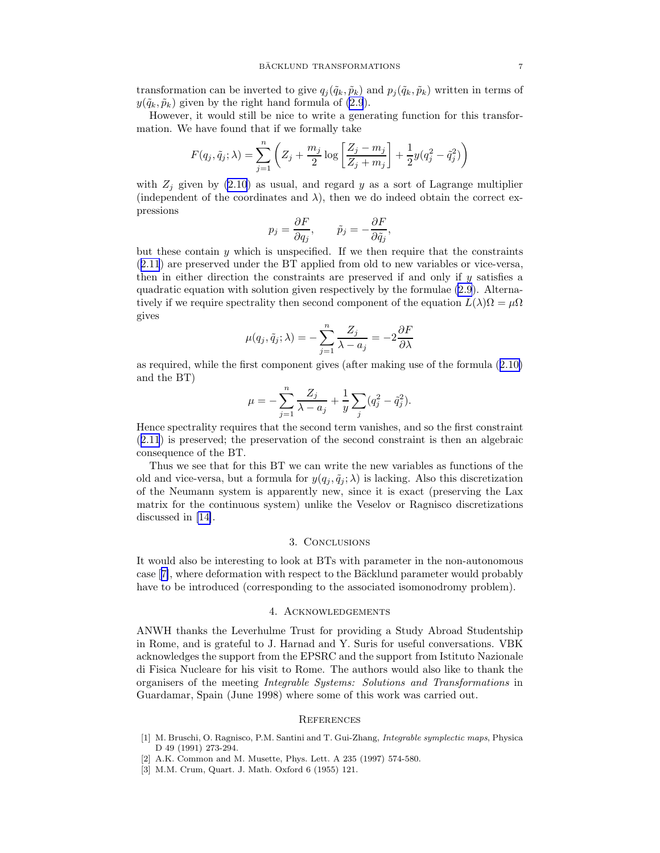<span id="page-7-0"></span>transformation can be inverted to give  $q_i(\tilde{q}_k, \tilde{p}_k)$  and  $p_i(\tilde{q}_k, \tilde{p}_k)$  written in terms of  $y(\tilde{q}_k, \tilde{p}_k)$  given by the right hand formula of [\(2.9](#page-3-0)).

However, it would still be nice to write a generating function for this transformation. We have found that if we formally take

$$
F(q_j,\tilde{q}_j;\lambda)=\sum_{j=1}^n\left(Z_j+\frac{m_j}{2}\log\left[\frac{Z_j-m_j}{Z_j+m_j}\right]+\frac{1}{2}y(q_j^2-\tilde{q}_j^2)\right)
$$

with  $Z_j$  given by [\(2.10](#page-4-0)) as usual, and regard y as a sort of Lagrange multiplier (independent of the coordinates and  $\lambda$ ), then we do indeed obtain the correct expressions

$$
p_j = \frac{\partial F}{\partial q_j}, \qquad \tilde{p}_j = -\frac{\partial F}{\partial \tilde{q}_j},
$$

but these contain  $y$  which is unspecified. If we then require that the constraints ([2.11](#page-5-0)) are preserved under the BT applied from old to new variables or vice-versa, then in either direction the constraints are preserved if and only if y satisfies a quadratic equation with solution given respectively by the formulae [\(2.9](#page-3-0)). Alternatively if we require spectrality then second component of the equation  $L(\lambda)\Omega = \mu\Omega$ gives

$$
\mu(q_j, \tilde{q}_j; \lambda) = -\sum_{j=1}^n \frac{Z_j}{\lambda - a_j} = -2\frac{\partial F}{\partial \lambda}
$$

as required, while the first component gives (after making use of the formula ([2.10\)](#page-4-0) and the BT)

$$
\mu = -\sum_{j=1}^{n} \frac{Z_j}{\lambda - a_j} + \frac{1}{y} \sum_{j} (q_j^2 - \tilde{q}_j^2).
$$

Hence spectrality requires that the second term vanishes, and so the first constraint ([2.11](#page-5-0)) is preserved; the preservation of the second constraint is then an algebraic consequence of the BT.

Thus we see that for this BT we can write the new variables as functions of the old and vice-versa, but a formula for  $y(q_i, \tilde{q}_i; \lambda)$  is lacking. Also this discretization of the Neumann system is apparently new, since it is exact (preserving the Lax matrix for the continuous system) unlike the Veselov or Ragnisco discretizations discussed in [14].

#### 3. Conclusions

It would also be interesting to look at BTs with parameter in the non-autonomous case [7], where deformation with respect to the Bäcklund parameter would probably have to be introduced (corresponding to the associated isomonodromy problem).

#### 4. Acknowledgements

ANWH thanks the Leverhulme Trust for providing a Study Abroad Studentship in Rome, and is grateful to J. Harnad and Y. Suris for useful conversations. VBK acknowledges the support from the EPSRC and the support from Istituto Nazionale di Fisica Nucleare for his visit to Rome. The authors would also like to thank the organisers of the meeting Integrable Systems: Solutions and Transformations in Guardamar, Spain (June 1998) where some of this work was carried out.

#### **REFERENCES**

- [1] M. Bruschi, O. Ragnisco, P.M. Santini and T. Gui-Zhang, *Integrable symplectic maps*, Physica D 49 (1991) 273-294.
- [2] A.K. Common and M. Musette, Phys. Lett. A 235 (1997) 574-580.
- [3] M.M. Crum, Quart. J. Math. Oxford 6 (1955) 121.